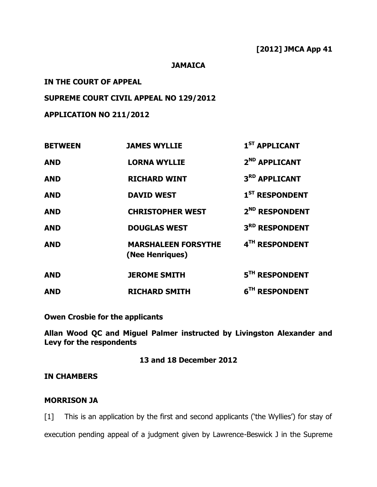#### **JAMAICA**

# **IN THE COURT OF APPEAL**

## **SUPREME COURT CIVIL APPEAL NO 129/2012**

## **APPLICATION NO 211/2012**

| <b>BETWEEN</b> | <b>JAMES WYLLIE</b>                           | 1 <sup>ST</sup> APPLICANT  |
|----------------|-----------------------------------------------|----------------------------|
| <b>AND</b>     | <b>LORNA WYLLIE</b>                           | 2 <sup>ND</sup> APPLICANT  |
| <b>AND</b>     | <b>RICHARD WINT</b>                           | 3 <sup>RD</sup> APPLICANT  |
| <b>AND</b>     | <b>DAVID WEST</b>                             | 1 <sup>ST</sup> RESPONDENT |
| <b>AND</b>     | <b>CHRISTOPHER WEST</b>                       | 2 <sup>ND</sup> RESPONDENT |
| <b>AND</b>     | <b>DOUGLAS WEST</b>                           | 3RD RESPONDENT             |
| <b>AND</b>     | <b>MARSHALEEN FORSYTHE</b><br>(Nee Henriques) | 4TH RESPONDENT             |
| <b>AND</b>     | <b>JEROME SMITH</b>                           | 5TH RESPONDENT             |
| <b>AND</b>     | <b>RICHARD SMITH</b>                          | 6 <sup>TH</sup> RESPONDENT |

#### **Owen Crosbie for the applicants**

**Allan Wood QC and Miguel Palmer instructed by Livingston Alexander and Levy for the respondents**

## **13 and 18 December 2012**

## **IN CHAMBERS**

## **MORRISON JA**

[1] This is an application by the first and second applicants ('the Wyllies') for stay of execution pending appeal of a judgment given by Lawrence-Beswick J in the Supreme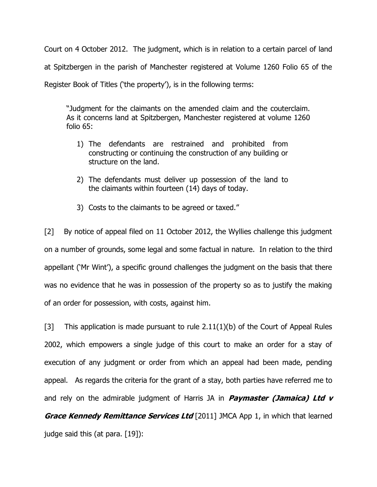Court on 4 October 2012. The judgment, which is in relation to a certain parcel of land at Spitzbergen in the parish of Manchester registered at Volume 1260 Folio 65 of the Register Book of Titles ('the property'), is in the following terms:

"Judgment for the claimants on the amended claim and the couterclaim. As it concerns land at Spitzbergen, Manchester registered at volume 1260 folio 65:

- 1) The defendants are restrained and prohibited from constructing or continuing the construction of any building or structure on the land.
- 2) The defendants must deliver up possession of the land to the claimants within fourteen (14) days of today.
- 3) Costs to the claimants to be agreed or taxed."

[2] By notice of appeal filed on 11 October 2012, the Wyllies challenge this judgment on a number of grounds, some legal and some factual in nature. In relation to the third appellant ('Mr Wint'), a specific ground challenges the judgment on the basis that there was no evidence that he was in possession of the property so as to justify the making of an order for possession, with costs, against him.

[3] This application is made pursuant to rule  $2.11(1)(b)$  of the Court of Appeal Rules 2002, which empowers a single judge of this court to make an order for a stay of execution of any judgment or order from which an appeal had been made, pending appeal. As regards the criteria for the grant of a stay, both parties have referred me to and rely on the admirable judgment of Harris JA in **Paymaster (Jamaica) Ltd v Grace Kennedy Remittance Services Ltd** [2011] JMCA App 1, in which that learned judge said this (at para. [19]):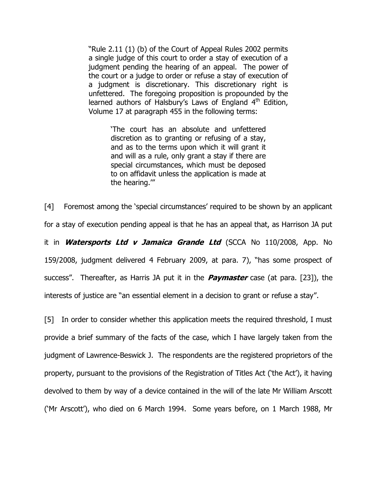"Rule 2.11 (1) (b) of the Court of Appeal Rules 2002 permits a single judge of this court to order a stay of execution of a judgment pending the hearing of an appeal. The power of the court or a judge to order or refuse a stay of execution of a judgment is discretionary. This discretionary right is unfettered. The foregoing proposition is propounded by the learned authors of Halsbury's Laws of England  $4<sup>th</sup>$  Edition, Volume 17 at paragraph 455 in the following terms:

> 'The court has an absolute and unfettered discretion as to granting or refusing of a stay, and as to the terms upon which it will grant it and will as a rule, only grant a stay if there are special circumstances, which must be deposed to on affidavit unless the application is made at the hearing.'"

[4] Foremost among the 'special circumstances' required to be shown by an applicant for a stay of execution pending appeal is that he has an appeal that, as Harrison JA put it in **Watersports Ltd v Jamaica Grande Ltd** (SCCA No 110/2008, App. No 159/2008, judgment delivered 4 February 2009, at para. 7), "has some prospect of success". Thereafter, as Harris JA put it in the **Paymaster** case (at para. [23]), the interests of justice are "an essential element in a decision to grant or refuse a stay".

[5] In order to consider whether this application meets the required threshold, I must provide a brief summary of the facts of the case, which I have largely taken from the judgment of Lawrence-Beswick J. The respondents are the registered proprietors of the property, pursuant to the provisions of the Registration of Titles Act ('the Act'), it having devolved to them by way of a device contained in the will of the late Mr William Arscott ('Mr Arscott'), who died on 6 March 1994. Some years before, on 1 March 1988, Mr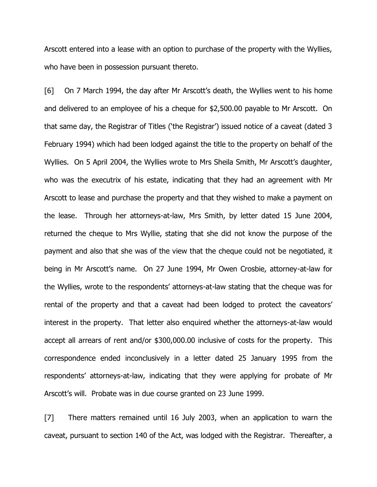Arscott entered into a lease with an option to purchase of the property with the Wyllies, who have been in possession pursuant thereto.

[6] On 7 March 1994, the day after Mr Arscott's death, the Wyllies went to his home and delivered to an employee of his a cheque for \$2,500.00 payable to Mr Arscott. On that same day, the Registrar of Titles ('the Registrar') issued notice of a caveat (dated 3 February 1994) which had been lodged against the title to the property on behalf of the Wyllies. On 5 April 2004, the Wyllies wrote to Mrs Sheila Smith, Mr Arscott's daughter, who was the executrix of his estate, indicating that they had an agreement with Mr Arscott to lease and purchase the property and that they wished to make a payment on the lease. Through her attorneys-at-law, Mrs Smith, by letter dated 15 June 2004, returned the cheque to Mrs Wyllie, stating that she did not know the purpose of the payment and also that she was of the view that the cheque could not be negotiated, it being in Mr Arscott's name. On 27 June 1994, Mr Owen Crosbie, attorney-at-law for the Wyllies, wrote to the respondents' attorneys-at-law stating that the cheque was for rental of the property and that a caveat had been lodged to protect the caveators' interest in the property. That letter also enquired whether the attorneys-at-law would accept all arrears of rent and/or \$300,000.00 inclusive of costs for the property. This correspondence ended inconclusively in a letter dated 25 January 1995 from the respondents' attorneys-at-law, indicating that they were applying for probate of Mr Arscott's will. Probate was in due course granted on 23 June 1999.

[7] There matters remained until 16 July 2003, when an application to warn the caveat, pursuant to section 140 of the Act, was lodged with the Registrar. Thereafter, a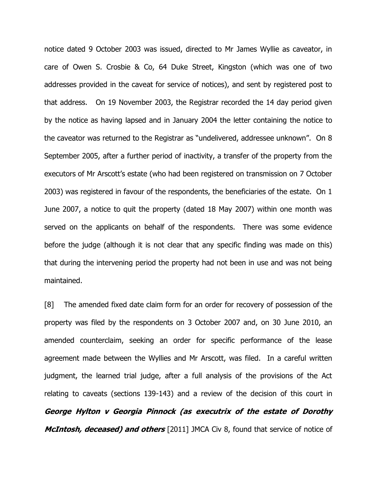notice dated 9 October 2003 was issued, directed to Mr James Wyllie as caveator, in care of Owen S. Crosbie & Co, 64 Duke Street, Kingston (which was one of two addresses provided in the caveat for service of notices), and sent by registered post to that address. On 19 November 2003, the Registrar recorded the 14 day period given by the notice as having lapsed and in January 2004 the letter containing the notice to the caveator was returned to the Registrar as "undelivered, addressee unknown". On 8 September 2005, after a further period of inactivity, a transfer of the property from the executors of Mr Arscott's estate (who had been registered on transmission on 7 October 2003) was registered in favour of the respondents, the beneficiaries of the estate. On 1 June 2007, a notice to quit the property (dated 18 May 2007) within one month was served on the applicants on behalf of the respondents. There was some evidence before the judge (although it is not clear that any specific finding was made on this) that during the intervening period the property had not been in use and was not being maintained.

[8] The amended fixed date claim form for an order for recovery of possession of the property was filed by the respondents on 3 October 2007 and, on 30 June 2010, an amended counterclaim, seeking an order for specific performance of the lease agreement made between the Wyllies and Mr Arscott, was filed. In a careful written judgment, the learned trial judge, after a full analysis of the provisions of the Act relating to caveats (sections 139-143) and a review of the decision of this court in **George Hylton v Georgia Pinnock (as executrix of the estate of Dorothy McIntosh, deceased) and others** [2011] JMCA Civ 8, found that service of notice of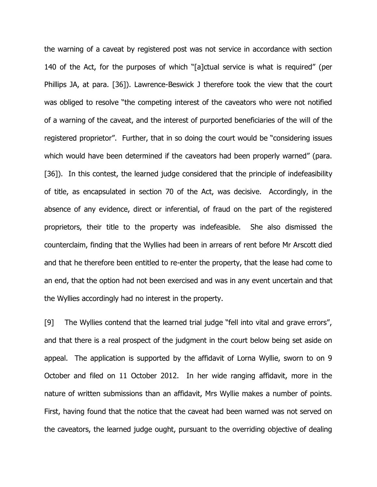the warning of a caveat by registered post was not service in accordance with section 140 of the Act, for the purposes of which "[a]ctual service is what is required" (per Phillips JA, at para. [36]). Lawrence-Beswick J therefore took the view that the court was obliged to resolve "the competing interest of the caveators who were not notified of a warning of the caveat, and the interest of purported beneficiaries of the will of the registered proprietor". Further, that in so doing the court would be "considering issues which would have been determined if the caveators had been properly warned" (para. [36]). In this contest, the learned judge considered that the principle of indefeasibility of title, as encapsulated in section 70 of the Act, was decisive. Accordingly, in the absence of any evidence, direct or inferential, of fraud on the part of the registered proprietors, their title to the property was indefeasible. She also dismissed the counterclaim, finding that the Wyllies had been in arrears of rent before Mr Arscott died and that he therefore been entitled to re-enter the property, that the lease had come to an end, that the option had not been exercised and was in any event uncertain and that the Wyllies accordingly had no interest in the property.

[9] The Wyllies contend that the learned trial judge "fell into vital and grave errors", and that there is a real prospect of the judgment in the court below being set aside on appeal. The application is supported by the affidavit of Lorna Wyllie, sworn to on 9 October and filed on 11 October 2012. In her wide ranging affidavit, more in the nature of written submissions than an affidavit, Mrs Wyllie makes a number of points. First, having found that the notice that the caveat had been warned was not served on the caveators, the learned judge ought, pursuant to the overriding objective of dealing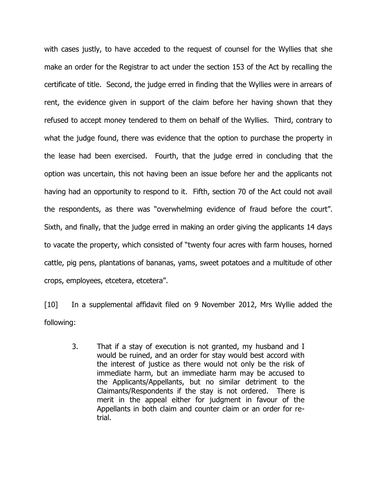with cases justly, to have acceded to the request of counsel for the Wyllies that she make an order for the Registrar to act under the section 153 of the Act by recalling the certificate of title. Second, the judge erred in finding that the Wyllies were in arrears of rent, the evidence given in support of the claim before her having shown that they refused to accept money tendered to them on behalf of the Wyllies. Third, contrary to what the judge found, there was evidence that the option to purchase the property in the lease had been exercised. Fourth, that the judge erred in concluding that the option was uncertain, this not having been an issue before her and the applicants not having had an opportunity to respond to it. Fifth, section 70 of the Act could not avail the respondents, as there was "overwhelming evidence of fraud before the court". Sixth, and finally, that the judge erred in making an order giving the applicants 14 days to vacate the property, which consisted of "twenty four acres with farm houses, horned cattle, pig pens, plantations of bananas, yams, sweet potatoes and a multitude of other crops, employees, etcetera, etcetera".

[10] In a supplemental affidavit filed on 9 November 2012, Mrs Wyllie added the following:

3. That if a stay of execution is not granted, my husband and I would be ruined, and an order for stay would best accord with the interest of justice as there would not only be the risk of immediate harm, but an immediate harm may be accused to the Applicants/Appellants, but no similar detriment to the Claimants/Respondents if the stay is not ordered. There is merit in the appeal either for judgment in favour of the Appellants in both claim and counter claim or an order for retrial.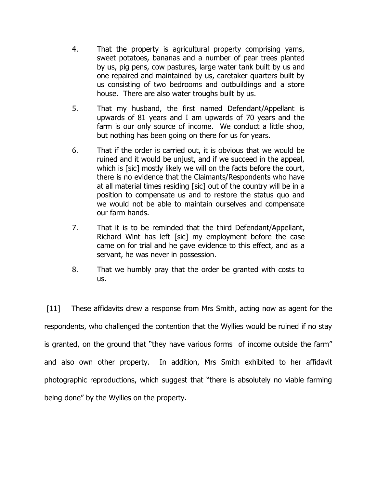- 4. That the property is agricultural property comprising yams, sweet potatoes, bananas and a number of pear trees planted by us, pig pens, cow pastures, large water tank built by us and one repaired and maintained by us, caretaker quarters built by us consisting of two bedrooms and outbuildings and a store house. There are also water troughs built by us.
- 5. That my husband, the first named Defendant/Appellant is upwards of 81 years and I am upwards of 70 years and the farm is our only source of income. We conduct a little shop, but nothing has been going on there for us for years.
- 6. That if the order is carried out, it is obvious that we would be ruined and it would be unjust, and if we succeed in the appeal, which is [sic] mostly likely we will on the facts before the court, there is no evidence that the Claimants/Respondents who have at all material times residing [sic] out of the country will be in a position to compensate us and to restore the status quo and we would not be able to maintain ourselves and compensate our farm hands.
- 7. That it is to be reminded that the third Defendant/Appellant, Richard Wint has left [sic] my employment before the case came on for trial and he gave evidence to this effect, and as a servant, he was never in possession.
- 8. That we humbly pray that the order be granted with costs to us.

[11] These affidavits drew a response from Mrs Smith, acting now as agent for the respondents, who challenged the contention that the Wyllies would be ruined if no stay is granted, on the ground that "they have various forms of income outside the farm" and also own other property. In addition, Mrs Smith exhibited to her affidavit photographic reproductions, which suggest that "there is absolutely no viable farming being done" by the Wyllies on the property.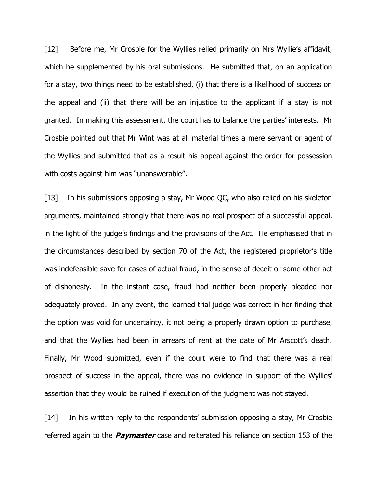[12] Before me, Mr Crosbie for the Wyllies relied primarily on Mrs Wyllie's affidavit, which he supplemented by his oral submissions. He submitted that, on an application for a stay, two things need to be established, (i) that there is a likelihood of success on the appeal and (ii) that there will be an injustice to the applicant if a stay is not granted. In making this assessment, the court has to balance the parties' interests. Mr Crosbie pointed out that Mr Wint was at all material times a mere servant or agent of the Wyllies and submitted that as a result his appeal against the order for possession with costs against him was "unanswerable".

[13] In his submissions opposing a stay, Mr Wood QC, who also relied on his skeleton arguments, maintained strongly that there was no real prospect of a successful appeal, in the light of the judge's findings and the provisions of the Act. He emphasised that in the circumstances described by section 70 of the Act, the registered proprietor's title was indefeasible save for cases of actual fraud, in the sense of deceit or some other act of dishonesty. In the instant case, fraud had neither been properly pleaded nor adequately proved. In any event, the learned trial judge was correct in her finding that the option was void for uncertainty, it not being a properly drawn option to purchase, and that the Wyllies had been in arrears of rent at the date of Mr Arscott's death. Finally, Mr Wood submitted, even if the court were to find that there was a real prospect of success in the appeal, there was no evidence in support of the Wyllies' assertion that they would be ruined if execution of the judgment was not stayed.

[14] In his written reply to the respondents' submission opposing a stay, Mr Crosbie referred again to the **Paymaster** case and reiterated his reliance on section 153 of the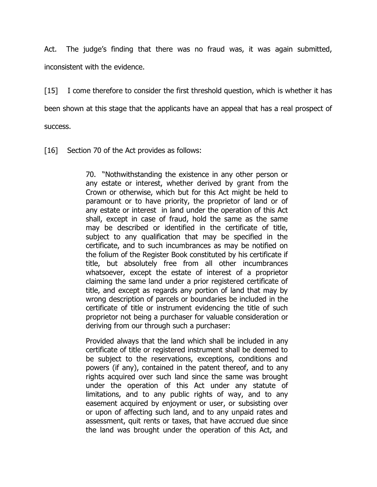Act. The judge's finding that there was no fraud was, it was again submitted, inconsistent with the evidence.

[15] I come therefore to consider the first threshold question, which is whether it has been shown at this stage that the applicants have an appeal that has a real prospect of success.

[16] Section 70 of the Act provides as follows:

70. "Nothwithstanding the existence in any other person or any estate or interest, whether derived by grant from the Crown or otherwise, which but for this Act might be held to paramount or to have priority, the proprietor of land or of any estate or interest in land under the operation of this Act shall, except in case of fraud, hold the same as the same may be described or identified in the certificate of title, subject to any qualification that may be specified in the certificate, and to such incumbrances as may be notified on the folium of the Register Book constituted by his certificate if title, but absolutely free from all other incumbrances whatsoever, except the estate of interest of a proprietor claiming the same land under a prior registered certificate of title, and except as regards any portion of land that may by wrong description of parcels or boundaries be included in the certificate of title or instrument evidencing the title of such proprietor not being a purchaser for valuable consideration or deriving from our through such a purchaser:

Provided always that the land which shall be included in any certificate of title or registered instrument shall be deemed to be subject to the reservations, exceptions, conditions and powers (if any), contained in the patent thereof, and to any rights acquired over such land since the same was brought under the operation of this Act under any statute of limitations, and to any public rights of way, and to any easement acquired by enjoyment or user, or subsisting over or upon of affecting such land, and to any unpaid rates and assessment, quit rents or taxes, that have accrued due since the land was brought under the operation of this Act, and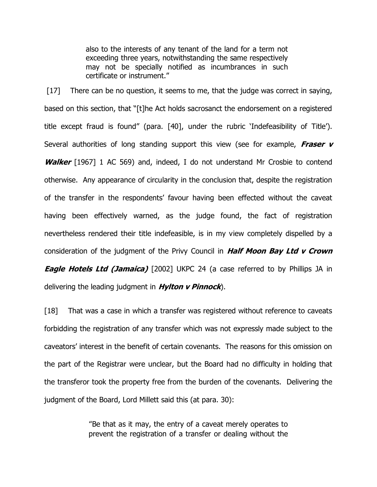also to the interests of any tenant of the land for a term not exceeding three years, notwithstanding the same respectively may not be specially notified as incumbrances in such certificate or instrument."

[17] There can be no question, it seems to me, that the judge was correct in saying, based on this section, that "[t]he Act holds sacrosanct the endorsement on a registered title except fraud is found" (para. [40], under the rubric 'Indefeasibility of Title'). Several authorities of long standing support this view (see for example, **Fraser v Walker** [1967] 1 AC 569) and, indeed, I do not understand Mr Crosbie to contend otherwise. Any appearance of circularity in the conclusion that, despite the registration of the transfer in the respondents' favour having been effected without the caveat having been effectively warned, as the judge found, the fact of registration nevertheless rendered their title indefeasible, is in my view completely dispelled by a consideration of the judgment of the Privy Council in **Half Moon Bay Ltd v Crown Eagle Hotels Ltd (Jamaica)** [2002] UKPC 24 (a case referred to by Phillips JA in delivering the leading judgment in **Hylton v Pinnock**).

[18] That was a case in which a transfer was registered without reference to caveats forbidding the registration of any transfer which was not expressly made subject to the caveators' interest in the benefit of certain covenants. The reasons for this omission on the part of the Registrar were unclear, but the Board had no difficulty in holding that the transferor took the property free from the burden of the covenants. Delivering the judgment of the Board, Lord Millett said this (at para. 30):

> "Be that as it may, the entry of a caveat merely operates to prevent the registration of a transfer or dealing without the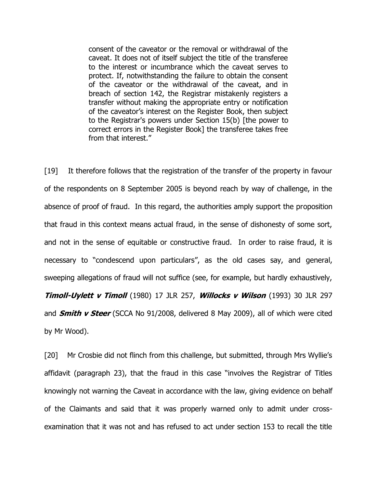consent of the caveator or the removal or withdrawal of the caveat. It does not of itself subject the title of the transferee to the interest or incumbrance which the caveat serves to protect. If, notwithstanding the failure to obtain the consent of the caveator or the withdrawal of the caveat, and in breach of section 142, the Registrar mistakenly registers a transfer without making the appropriate entry or notification of the caveator's interest on the Register Book, then subject to the Registrar's powers under Section 15(b) [the power to correct errors in the Register Book] the transferee takes free from that interest."

[19] It therefore follows that the registration of the transfer of the property in favour of the respondents on 8 September 2005 is beyond reach by way of challenge, in the absence of proof of fraud. In this regard, the authorities amply support the proposition that fraud in this context means actual fraud, in the sense of dishonesty of some sort, and not in the sense of equitable or constructive fraud. In order to raise fraud, it is necessary to "condescend upon particulars", as the old cases say, and general, sweeping allegations of fraud will not suffice (see, for example, but hardly exhaustively, **Timoll-Uylett v Timoll** (1980) 17 JLR 257, **Willocks v Wilson** (1993) 30 JLR 297 and **Smith v Steer** (SCCA No 91/2008, delivered 8 May 2009), all of which were cited by Mr Wood).

[20] Mr Crosbie did not flinch from this challenge, but submitted, through Mrs Wyllie's affidavit (paragraph 23), that the fraud in this case "involves the Registrar of Titles knowingly not warning the Caveat in accordance with the law, giving evidence on behalf of the Claimants and said that it was properly warned only to admit under crossexamination that it was not and has refused to act under section 153 to recall the title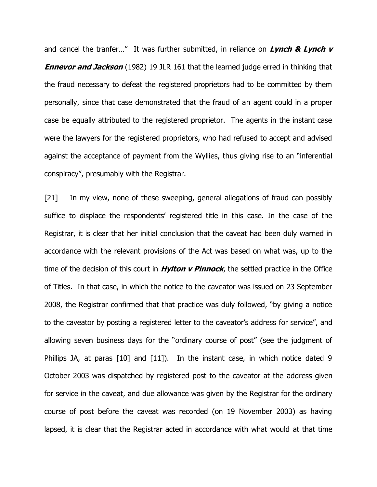and cancel the tranfer…" It was further submitted, in reliance on **Lynch & Lynch v Ennevor and Jackson** (1982) 19 JLR 161 that the learned judge erred in thinking that the fraud necessary to defeat the registered proprietors had to be committed by them personally, since that case demonstrated that the fraud of an agent could in a proper case be equally attributed to the registered proprietor. The agents in the instant case were the lawyers for the registered proprietors, who had refused to accept and advised against the acceptance of payment from the Wyllies, thus giving rise to an "inferential conspiracy", presumably with the Registrar.

[21] In my view, none of these sweeping, general allegations of fraud can possibly suffice to displace the respondents' registered title in this case. In the case of the Registrar, it is clear that her initial conclusion that the caveat had been duly warned in accordance with the relevant provisions of the Act was based on what was, up to the time of the decision of this court in **Hylton v Pinnock**, the settled practice in the Office of Titles. In that case, in which the notice to the caveator was issued on 23 September 2008, the Registrar confirmed that that practice was duly followed, "by giving a notice to the caveator by posting a registered letter to the caveator's address for service", and allowing seven business days for the "ordinary course of post" (see the judgment of Phillips JA, at paras [10] and [11]). In the instant case, in which notice dated 9 October 2003 was dispatched by registered post to the caveator at the address given for service in the caveat, and due allowance was given by the Registrar for the ordinary course of post before the caveat was recorded (on 19 November 2003) as having lapsed, it is clear that the Registrar acted in accordance with what would at that time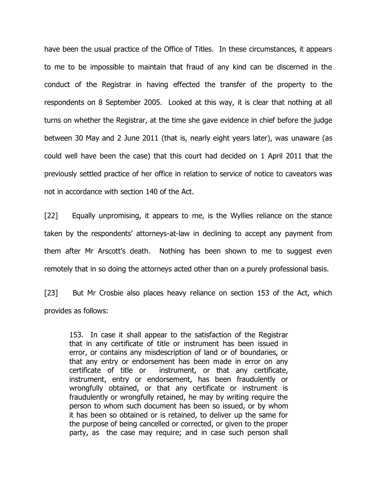have been the usual practice of the Office of Titles. In these circumstances, it appears to me to be impossible to maintain that fraud of any kind can be discerned in the conduct of the Registrar in having effected the transfer of the property to the respondents on 8 September 2005. Looked at this way, it is clear that nothing at all turns on whether the Registrar, at the time she gave evidence in chief before the judge between 30 May and 2 June 2011 (that is, nearly eight years later), was unaware (as could well have been the case) that this court had decided on 1 April 2011 that the previously settled practice of her office in relation to service of notice to caveators was not in accordance with section 140 of the Act.

[22] Equally unpromising, it appears to me, is the Wyllies reliance on the stance taken by the respondents' attorneys-at-law in declining to accept any payment from them after Mr Arscott's death. Nothing has been shown to me to suggest even remotely that in so doing the attorneys acted other than on a purely professional basis.

[23] But Mr Crosbie also places heavy reliance on section 153 of the Act, which provides as follows:

153. In case it shall appear to the satisfaction of the Registrar that in any certificate of title or instrument has been issued in error, or contains any misdescription of land or of boundaries, or that any entry or endorsement has been made in error on any certificate of title or instrument, or that any certificate, instrument, entry or endorsement, has been fraudulently or wrongfully obtained, or that any certificate or instrument is fraudulently or wrongfully retained, he may by writing require the person to whom such document has been so issued, or by whom it has been so obtained or is retained, to deliver up the same for the purpose of being cancelled or corrected, or given to the proper party, as the case may require; and in case such person shall